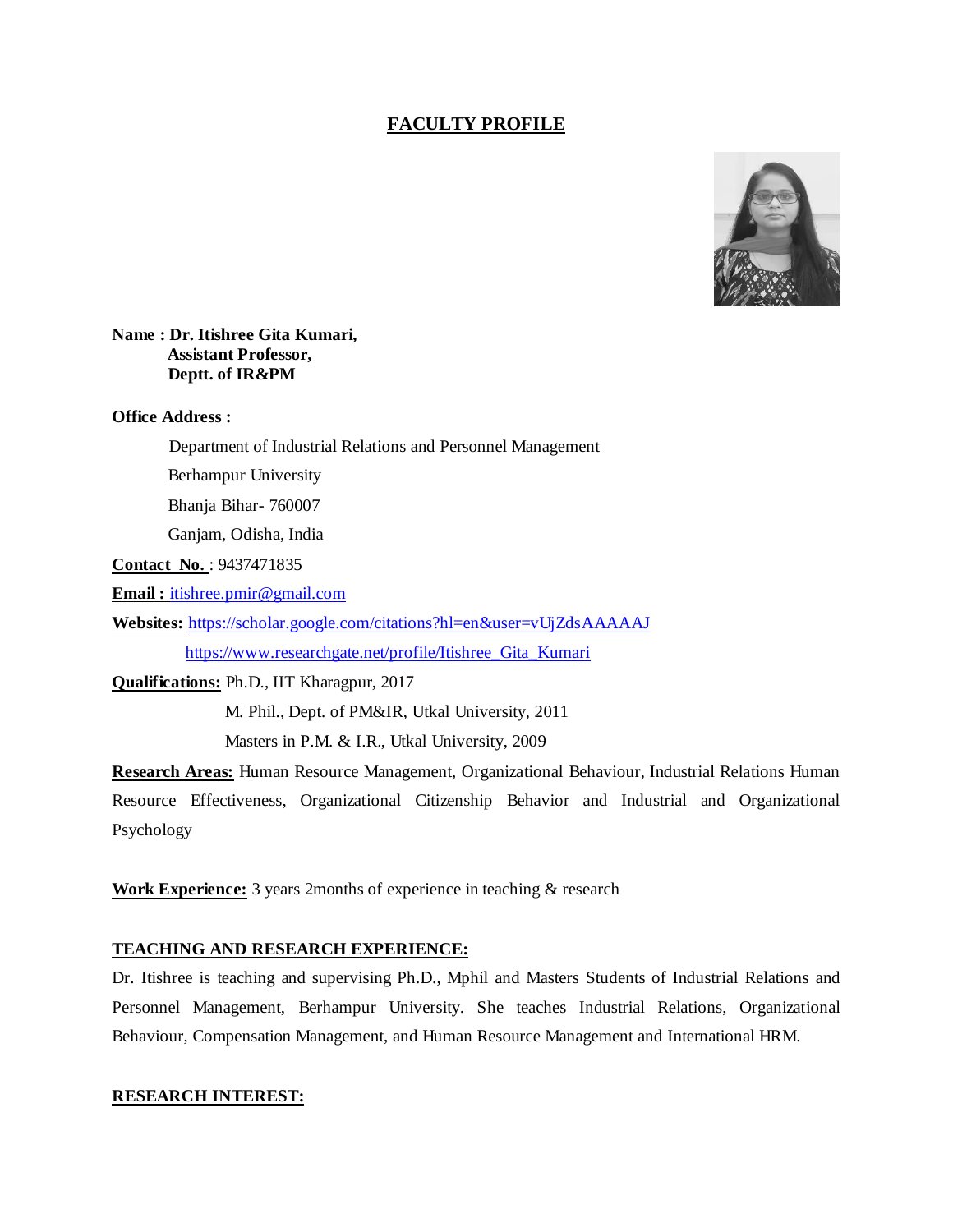# **FACULTY PROFILE**



#### **Name : Dr. Itishree Gita Kumari, Assistant Professor, Deptt. of IR&PM**

#### **Office Address :**

Department of Industrial Relations and Personnel Management

Berhampur University

Bhanja Bihar- 760007

Ganjam, Odisha, India

**Contact No.** : 9437471835

**Email :** [itishree.pmir@gmail.com](mailto:itishree.pmir@gmail.com)

**Websites:** <https://scholar.google.com/citations?hl=en&user=vUjZdsAAAAAJ>

[https://www.researchgate.net/profile/Itishree\\_Gita\\_Kumari](https://www.researchgate.net/profile/Itishree_Gita_Kumari)

**Qualifications:** Ph.D., IIT Kharagpur, 2017

M. Phil., Dept. of PM&IR, Utkal University, 2011

Masters in P.M. & I.R., Utkal University, 2009

**Research Areas:** Human Resource Management, Organizational Behaviour, Industrial Relations Human Resource Effectiveness, Organizational Citizenship Behavior and Industrial and Organizational Psychology

**Work Experience:** 3 years 2months of experience in teaching & research

## **TEACHING AND RESEARCH EXPERIENCE:**

Dr. Itishree is teaching and supervising Ph.D., Mphil and Masters Students of Industrial Relations and Personnel Management, Berhampur University. She teaches Industrial Relations, Organizational Behaviour, Compensation Management, and Human Resource Management and International HRM.

#### **RESEARCH INTEREST:**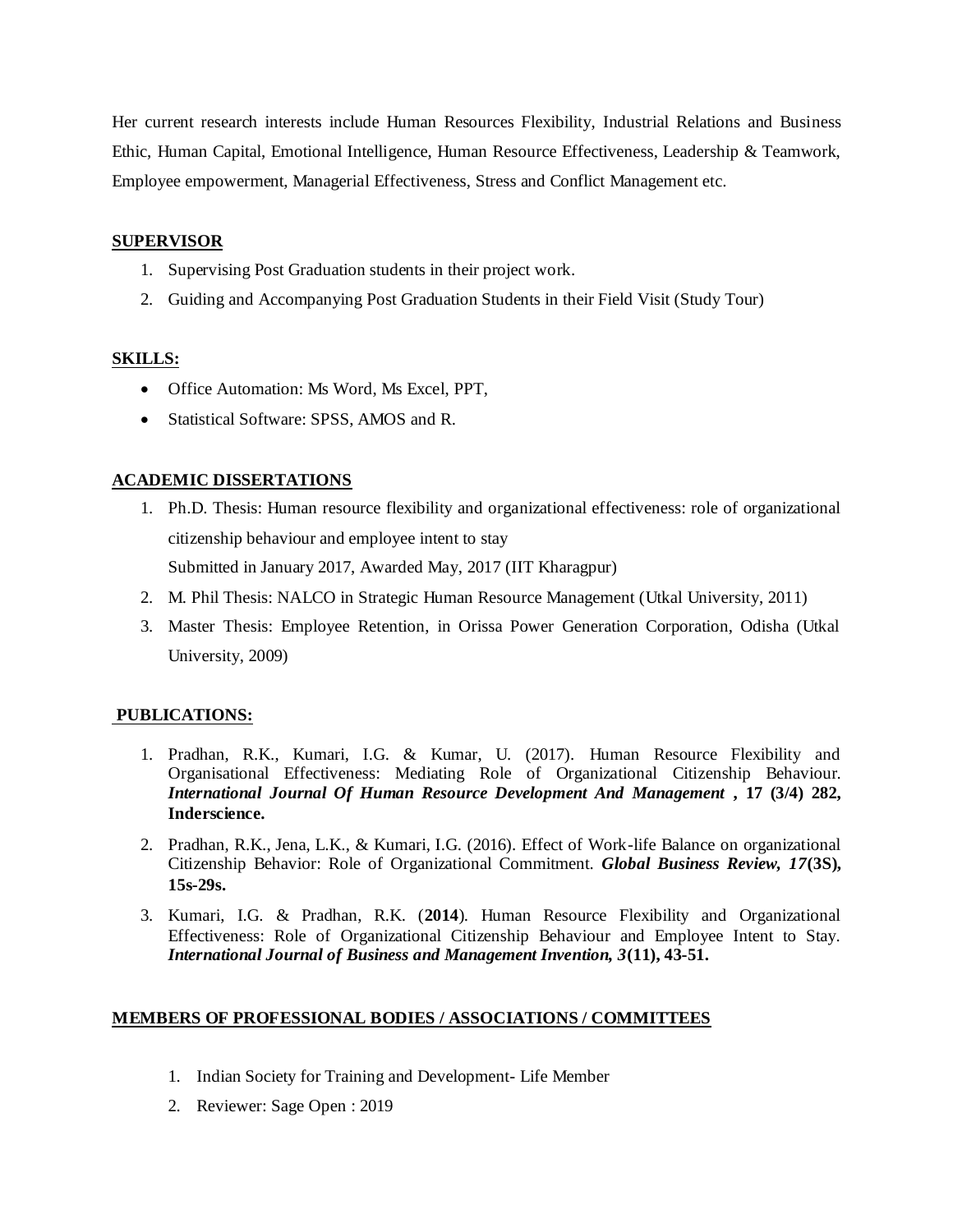Her current research interests include Human Resources Flexibility, Industrial Relations and Business Ethic, Human Capital, Emotional Intelligence, Human Resource Effectiveness, Leadership & Teamwork, Employee empowerment, Managerial Effectiveness, Stress and Conflict Management etc.

#### **SUPERVISOR**

- 1. Supervising Post Graduation students in their project work.
- 2. Guiding and Accompanying Post Graduation Students in their Field Visit (Study Tour)

### **SKILLS:**

- Office Automation: Ms Word, Ms Excel, PPT,
- Statistical Software: SPSS, AMOS and R.

## **ACADEMIC DISSERTATIONS**

- 1. Ph.D. Thesis: Human resource flexibility and organizational effectiveness: role of organizational citizenship behaviour and employee intent to stay Submitted in January 2017, Awarded May, 2017 (IIT Kharagpur)
- 2. M. Phil Thesis: NALCO in Strategic Human Resource Management (Utkal University, 2011)
- 3. Master Thesis: Employee Retention, in Orissa Power Generation Corporation, Odisha (Utkal University, 2009)

### **PUBLICATIONS:**

- 1. Pradhan, R.K., Kumari, I.G. & Kumar, U. (2017). Human Resource Flexibility and Organisational Effectiveness: Mediating Role of Organizational Citizenship Behaviour. *International Journal Of Human Resource Development And Management* **, 17 (3/4) 282, Inderscience.**
- 2. Pradhan, R.K., Jena, L.K., & Kumari, I.G. (2016). Effect of Work-life Balance on organizational Citizenship Behavior: Role of Organizational Commitment. *Global Business Review, 17***(3S), 15s-29s.**
- 3. Kumari, I.G. & Pradhan, R.K. (**2014**). Human Resource Flexibility and Organizational Effectiveness: Role of Organizational Citizenship Behaviour and Employee Intent to Stay. *International Journal of Business and Management Invention, 3***(11), 43-51.**

## **MEMBERS OF PROFESSIONAL BODIES / ASSOCIATIONS / COMMITTEES**

- 1. Indian Society for Training and Development- Life Member
- 2. Reviewer: Sage Open : 2019